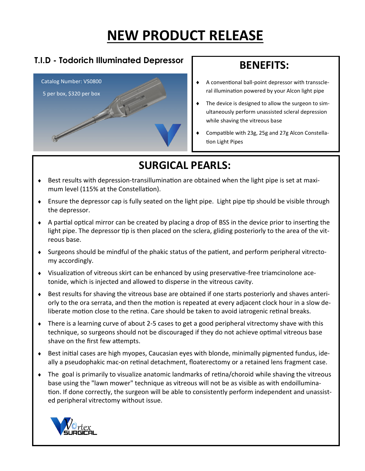# **NEW PRODUCT RELEASE**

### **T.I.D - Todorich Illuminated Depressor**



### **BENEFITS:**

- A conventional ball-point depressor with transscleral illumination powered by your Alcon light pipe
- The device is designed to allow the surgeon to simultaneously perform unassisted scleral depression while shaving the vitreous base
- Compatible with 23g, 25g and 27g Alcon Constellation Light Pipes

## **SURGICAL PEARLS:**

- Best results with depression-transillumination are obtained when the light pipe is set at maximum level (115% at the Constellation).
- Ensure the depressor cap is fully seated on the light pipe. Light pipe tip should be visible through the depressor.
- A partial optical mirror can be created by placing a drop of BSS in the device prior to inserting the light pipe. The depressor tip is then placed on the sclera, gliding posteriorly to the area of the vitreous base.
- Surgeons should be mindful of the phakic status of the patient, and perform peripheral vitrectomy accordingly.
- Visualization of vitreous skirt can be enhanced by using preservative-free triamcinolone acetonide, which is injected and allowed to disperse in the vitreous cavity.
- Best results for shaving the vitreous base are obtained if one starts posteriorly and shaves anteriorly to the ora serrata, and then the motion is repeated at every adjacent clock hour in a slow deliberate motion close to the retina. Care should be taken to avoid iatrogenic retinal breaks.
- There is a learning curve of about 2-5 cases to get a good peripheral vitrectomy shave with this technique, so surgeons should not be discouraged if they do not achieve optimal vitreous base shave on the first few attempts.
- Best initial cases are high myopes, Caucasian eyes with blonde, minimally pigmented fundus, ideally a pseudophakic mac-on retinal detachment, floaterectomy or a retained lens fragment case.
- The goal is primarily to visualize anatomic landmarks of retina/choroid while shaving the vitreous base using the "lawn mower" technique as vitreous will not be as visible as with endoillumination. If done correctly, the surgeon will be able to consistently perform independent and unassisted peripheral vitrectomy without issue.